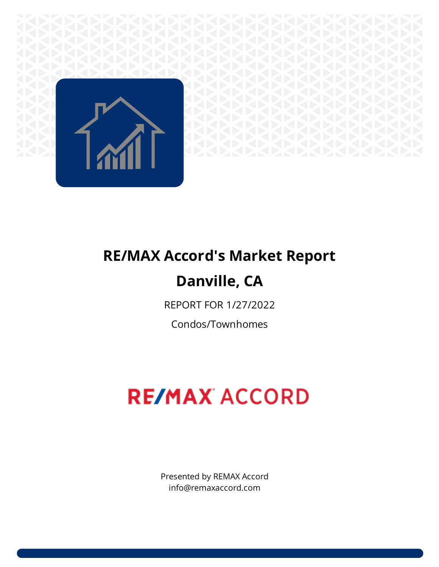

## **RE/MAX Accord's Market Report Danville, CA**

REPORT FOR 1/27/2022

Condos/Townhomes

# **RE/MAX ACCORD**

Presented by REMAX Accord info@remaxaccord.com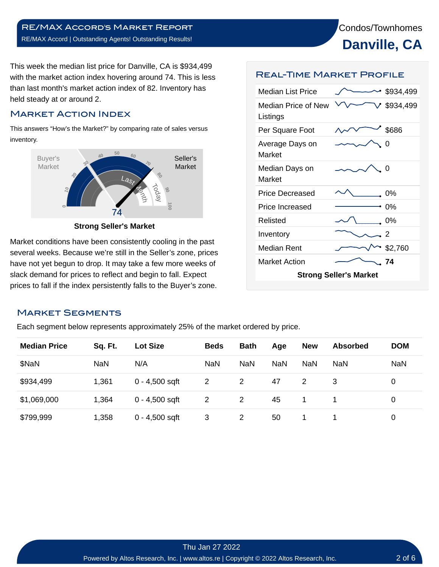This week the median list price for Danville, CA is \$934,499 with the market action index hovering around 74. This is less than last month's market action index of 82. Inventory has held steady at or around 2.

#### Market Action Index

This answers "How's the Market?" by comparing rate of sales versus inventory.



**Strong Seller's Market**

Market conditions have been consistently cooling in the past several weeks. Because we're still in the Seller's zone, prices have not yet begun to drop. It may take a few more weeks of slack demand for prices to reflect and begin to fall. Expect prices to fall if the index persistently falls to the Buyer's zone.

#### Real-Time Market Profile

|                                 | 0%        |
|---------------------------------|-----------|
| Price Increased<br>Relisted     | 0%        |
| Price Decreased                 | 0%        |
| Median Days on<br>Market        | Ω         |
| Average Days on<br>Market       | O         |
| Per Square Foot                 | \$686     |
| Median Price of New<br>Listings | \$934,499 |
| Median List Price               | \$934,499 |

#### Market Segments

Each segment below represents approximately 25% of the market ordered by price.

| <b>Median Price</b> | Sq. Ft.    | <b>Lot Size</b>  | <b>Beds</b>  | <b>Bath</b> | Age        | <b>New</b> | <b>Absorbed</b> | <b>DOM</b> |
|---------------------|------------|------------------|--------------|-------------|------------|------------|-----------------|------------|
| \$NaN               | <b>NaN</b> | N/A              | <b>NaN</b>   | <b>NaN</b>  | <b>NaN</b> | NaN        | NaN             | <b>NaN</b> |
| \$934,499           | 1,361      | $0 - 4,500$ sqft | $\mathbf{2}$ | 2           | 47         | 2          | 3               | 0          |
| \$1,069,000         | 1,364      | $0 - 4,500$ sqft | 2            | 2           | 45         |            |                 | 0          |
| \$799,999           | 1,358      | $0 - 4,500$ sqft | 3            | 2           | 50         |            |                 | 0          |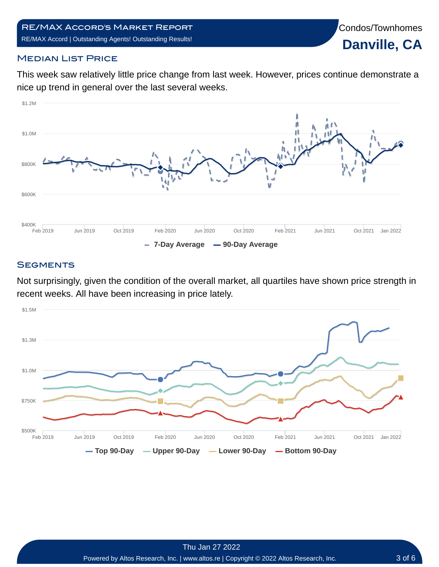Condos/Townhomes



#### **MEDIAN LIST PRICE**

This week saw relatively little price change from last week. However, prices continue demonstrate a nice up trend in general over the last several weeks.



#### **SEGMENTS**

Not surprisingly, given the condition of the overall market, all quartiles have shown price strength in recent weeks. All have been increasing in price lately.

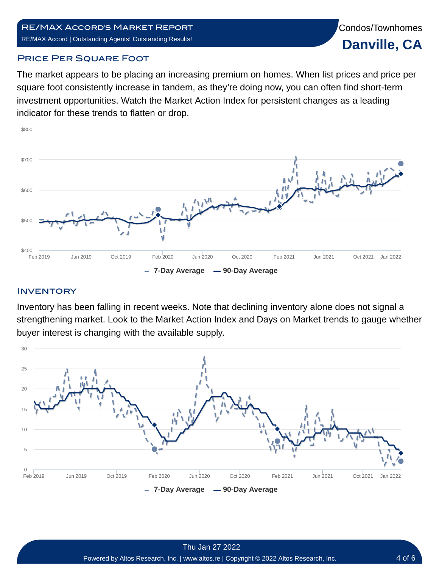#### **PRICE PER SQUARE FOOT**

The market appears to be placing an increasing premium on homes. When list prices and price per square foot consistently increase in tandem, as they're doing now, you can often find short-term investment opportunities. Watch the Market Action Index for persistent changes as a leading indicator for these trends to flatten or drop.



#### **INVENTORY**

Inventory has been falling in recent weeks. Note that declining inventory alone does not signal a strengthening market. Look to the Market Action Index and Days on Market trends to gauge whether buyer interest is changing with the available supply.

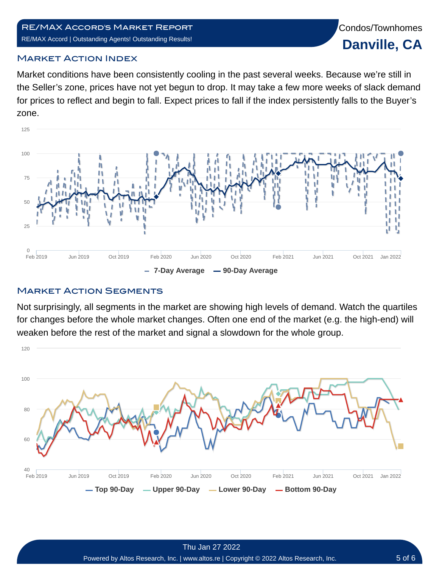#### Market Action Index

Market conditions have been consistently cooling in the past several weeks. Because we're still in the Seller's zone, prices have not yet begun to drop. It may take a few more weeks of slack demand for prices to reflect and begin to fall. Expect prices to fall if the index persistently falls to the Buyer's zone.



#### **MARKET ACTION SEGMENTS**

Not surprisingly, all segments in the market are showing high levels of demand. Watch the quartiles for changes before the whole market changes. Often one end of the market (e.g. the high-end) will weaken before the rest of the market and signal a slowdown for the whole group.